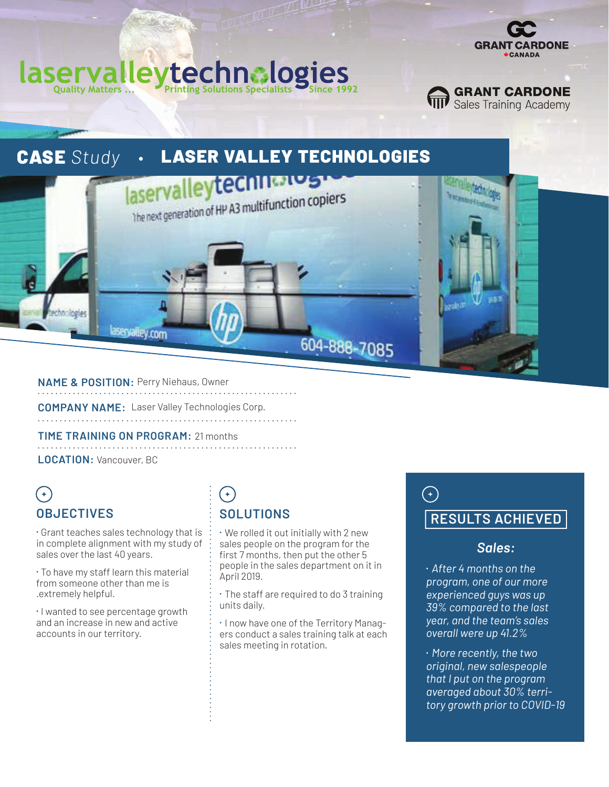

**GRANT CARDONE**<br>**THE Sales Training Academy** 

#### technologies aserva **Ouality Matters ... Printing Solutions Specialists**



**NAME & POSITION:** Perry Niehaus, Owner

**COMPANY NAME:** Laser Valley Technologies Corp.

**TIME TRAINING ON PROGRAM:** 21 months 

**LOCATION:** Vancouver, BC

# $\left( \begin{matrix} + \end{matrix} \right)$ **OBJECTIVES**

⁌ Grant teaches sales technology that is in complete alignment with my study of sales over the last 40 years.

⁌ To have my staff learn this material from someone other than me is .extremely helpful.

⁌ I wanted to see percentage growth and an increase in new and active accounts in our territory.

# $(+)$ **SOLUTIONS**

⁌ We rolled it out initially with 2 new sales people on the program for the first 7 months, then put the other 5 people in the sales department on it in April 2019.

604-888-7085

⁌ The staff are required to do 3 training units daily.

⁌ I now have one of the Territory Managers conduct a sales training talk at each sales meeting in rotation.

# $\bigodot$ **RESULTS ACHIEVED**

#### *Sales:*

⁍ *After 4 months on the program, one of our more experienced guys was up 39% compared to the last year, and the team's sales overall were up 41.2%* 

⁍ *More recently, the two original, new salespeople that I put on the program averaged about 30% territory growth prior to COVID-19*